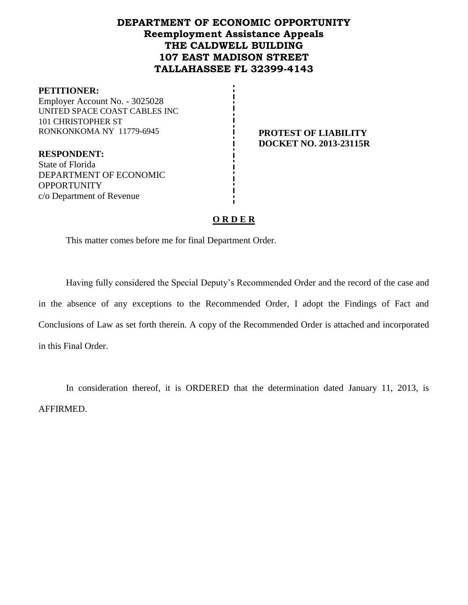## **DEPARTMENT OF ECONOMIC OPPORTUNITY Reemployment Assistance Appeals THE CALDWELL BUILDING 107 EAST MADISON STREET TALLAHASSEE FL 32399-4143**

#### **PETITIONER:**

Employer Account No. - 3025028 UNITED SPACE COAST CABLES INC 101 CHRISTOPHER ST RONKONKOMA NY 11779-6945 **PROTEST OF LIABILITY**

**RESPONDENT:** State of Florida DEPARTMENT OF ECONOMIC **OPPORTUNITY** c/o Department of Revenue

# **DOCKET NO. 2013-23115R**

## **O R D E R**

This matter comes before me for final Department Order.

Having fully considered the Special Deputy's Recommended Order and the record of the case and in the absence of any exceptions to the Recommended Order, I adopt the Findings of Fact and Conclusions of Law as set forth therein. A copy of the Recommended Order is attached and incorporated in this Final Order.

In consideration thereof, it is ORDERED that the determination dated January 11, 2013, is AFFIRMED.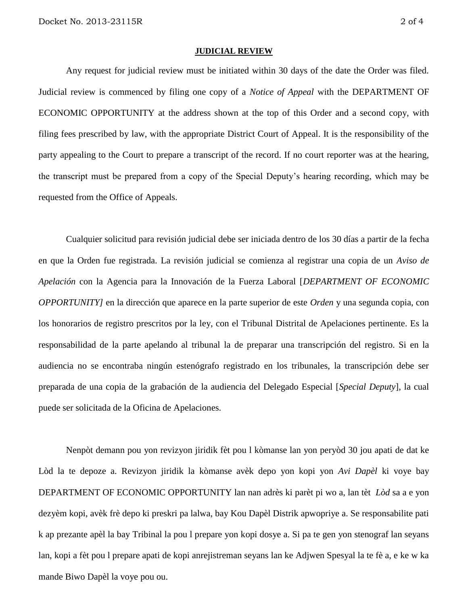#### **JUDICIAL REVIEW**

Any request for judicial review must be initiated within 30 days of the date the Order was filed. Judicial review is commenced by filing one copy of a *Notice of Appeal* with the DEPARTMENT OF ECONOMIC OPPORTUNITY at the address shown at the top of this Order and a second copy, with filing fees prescribed by law, with the appropriate District Court of Appeal. It is the responsibility of the party appealing to the Court to prepare a transcript of the record. If no court reporter was at the hearing, the transcript must be prepared from a copy of the Special Deputy's hearing recording, which may be requested from the Office of Appeals.

Cualquier solicitud para revisión judicial debe ser iniciada dentro de los 30 días a partir de la fecha en que la Orden fue registrada. La revisión judicial se comienza al registrar una copia de un *Aviso de Apelación* con la Agencia para la Innovación de la Fuerza Laboral [*DEPARTMENT OF ECONOMIC OPPORTUNITY]* en la dirección que aparece en la parte superior de este *Orden* y una segunda copia, con los honorarios de registro prescritos por la ley, con el Tribunal Distrital de Apelaciones pertinente. Es la responsabilidad de la parte apelando al tribunal la de preparar una transcripción del registro. Si en la audiencia no se encontraba ningún estenógrafo registrado en los tribunales, la transcripción debe ser preparada de una copia de la grabación de la audiencia del Delegado Especial [*Special Deputy*], la cual puede ser solicitada de la Oficina de Apelaciones.

Nenpòt demann pou yon revizyon jiridik fèt pou l kòmanse lan yon peryòd 30 jou apati de dat ke Lòd la te depoze a. Revizyon jiridik la kòmanse avèk depo yon kopi yon *Avi Dapèl* ki voye bay DEPARTMENT OF ECONOMIC OPPORTUNITY lan nan adrès ki parèt pi wo a, lan tèt *Lòd* sa a e yon dezyèm kopi, avèk frè depo ki preskri pa lalwa, bay Kou Dapèl Distrik apwopriye a. Se responsabilite pati k ap prezante apèl la bay Tribinal la pou l prepare yon kopi dosye a. Si pa te gen yon stenograf lan seyans lan, kopi a fèt pou l prepare apati de kopi anrejistreman seyans lan ke Adjwen Spesyal la te fè a, e ke w ka mande Biwo Dapèl la voye pou ou.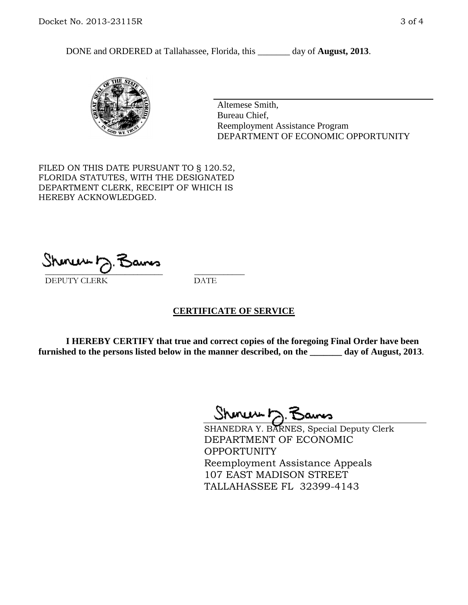DONE and ORDERED at Tallahassee, Florida, this \_\_\_\_\_\_\_ day of **August, 2013**.



Altemese Smith, Bureau Chief, Reemployment Assistance Program DEPARTMENT OF ECONOMIC OPPORTUNITY

FILED ON THIS DATE PURSUANT TO § 120.52, FLORIDA STATUTES, WITH THE DESIGNATED DEPARTMENT CLERK, RECEIPT OF WHICH IS HEREBY ACKNOWLEDGED.

 $\overline{\phantom{a}}$  ,  $\overline{\phantom{a}}$  ,  $\overline{\phantom{a}}$  ,  $\overline{\phantom{a}}$  ,  $\overline{\phantom{a}}$  ,  $\overline{\phantom{a}}$  ,  $\overline{\phantom{a}}$  ,  $\overline{\phantom{a}}$ DEPUTY CLERK DATE

#### **CERTIFICATE OF SERVICE**

**I HEREBY CERTIFY that true and correct copies of the foregoing Final Order have been furnished to the persons listed below in the manner described, on the \_\_\_\_\_\_\_ day of August, 2013**.

 $ShmumE, F$ 

SHANEDRA Y. BARNES, Special Deputy Clerk DEPARTMENT OF ECONOMIC OPPORTUNITY Reemployment Assistance Appeals 107 EAST MADISON STREET TALLAHASSEE FL 32399-4143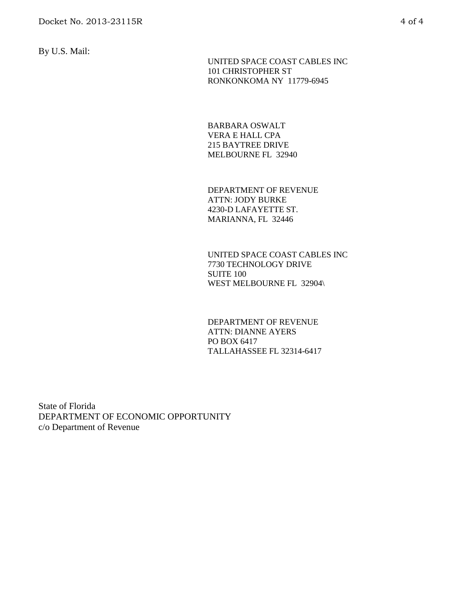By U.S. Mail:

 UNITED SPACE COAST CABLES INC 101 CHRISTOPHER ST RONKONKOMA NY 11779-6945

BARBARA OSWALT VERA E HALL CPA 215 BAYTREE DRIVE MELBOURNE FL 32940

DEPARTMENT OF REVENUE ATTN: JODY BURKE 4230-D LAFAYETTE ST. MARIANNA, FL 32446

UNITED SPACE COAST CABLES INC 7730 TECHNOLOGY DRIVE SUITE 100 WEST MELBOURNE FL 32904\

DEPARTMENT OF REVENUE ATTN: DIANNE AYERS PO BOX 6417 TALLAHASSEE FL 32314-6417

State of Florida DEPARTMENT OF ECONOMIC OPPORTUNITY c/o Department of Revenue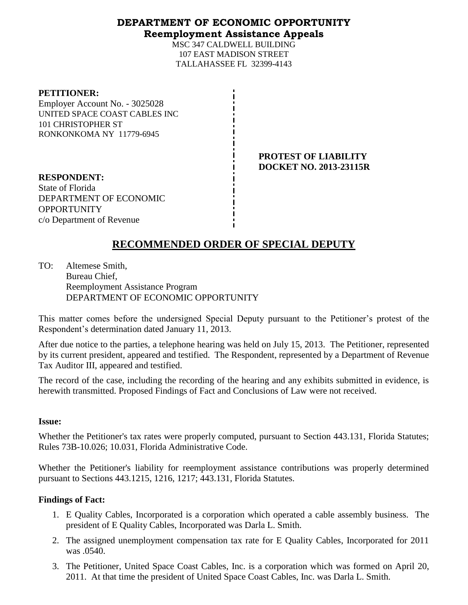## **DEPARTMENT OF ECONOMIC OPPORTUNITY Reemployment Assistance Appeals**

MSC 347 CALDWELL BUILDING 107 EAST MADISON STREET TALLAHASSEE FL 32399-4143

#### **PETITIONER:**

Employer Account No. - 3025028 UNITED SPACE COAST CABLES INC 101 CHRISTOPHER ST RONKONKOMA NY 11779-6945

### **PROTEST OF LIABILITY DOCKET NO. 2013-23115R**

**RESPONDENT:** State of Florida DEPARTMENT OF ECONOMIC **OPPORTUNITY** c/o Department of Revenue

# **RECOMMENDED ORDER OF SPECIAL DEPUTY**

TO: Altemese Smith, Bureau Chief, Reemployment Assistance Program DEPARTMENT OF ECONOMIC OPPORTUNITY

This matter comes before the undersigned Special Deputy pursuant to the Petitioner's protest of the Respondent's determination dated January 11, 2013.

After due notice to the parties, a telephone hearing was held on July 15, 2013. The Petitioner, represented by its current president, appeared and testified. The Respondent, represented by a Department of Revenue Tax Auditor III, appeared and testified.

The record of the case, including the recording of the hearing and any exhibits submitted in evidence, is herewith transmitted. Proposed Findings of Fact and Conclusions of Law were not received.

#### **Issue:**

Whether the Petitioner's tax rates were properly computed, pursuant to Section 443.131, Florida Statutes; Rules 73B-10.026; 10.031, Florida Administrative Code.

Whether the Petitioner's liability for reemployment assistance contributions was properly determined pursuant to Sections 443.1215, 1216, 1217; 443.131, Florida Statutes.

## **Findings of Fact:**

- 1. E Quality Cables, Incorporated is a corporation which operated a cable assembly business. The president of E Quality Cables, Incorporated was Darla L. Smith.
- 2. The assigned unemployment compensation tax rate for E Quality Cables, Incorporated for 2011 was .0540.
- 3. The Petitioner, United Space Coast Cables, Inc. is a corporation which was formed on April 20, 2011. At that time the president of United Space Coast Cables, Inc. was Darla L. Smith.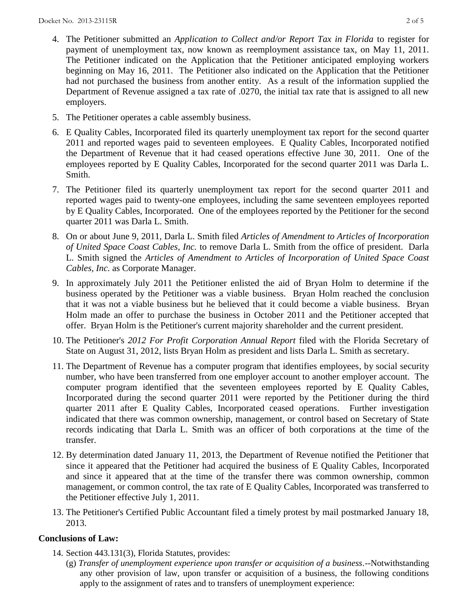- 4. The Petitioner submitted an *Application to Collect and/or Report Tax in Florida* to register for payment of unemployment tax, now known as reemployment assistance tax, on May 11, 2011. The Petitioner indicated on the Application that the Petitioner anticipated employing workers beginning on May 16, 2011. The Petitioner also indicated on the Application that the Petitioner had not purchased the business from another entity. As a result of the information supplied the Department of Revenue assigned a tax rate of .0270, the initial tax rate that is assigned to all new employers.
- 5. The Petitioner operates a cable assembly business.
- 6. E Quality Cables, Incorporated filed its quarterly unemployment tax report for the second quarter 2011 and reported wages paid to seventeen employees. E Quality Cables, Incorporated notified the Department of Revenue that it had ceased operations effective June 30, 2011. One of the employees reported by E Quality Cables, Incorporated for the second quarter 2011 was Darla L. Smith.
- 7. The Petitioner filed its quarterly unemployment tax report for the second quarter 2011 and reported wages paid to twenty-one employees, including the same seventeen employees reported by E Quality Cables, Incorporated. One of the employees reported by the Petitioner for the second quarter 2011 was Darla L. Smith.
- 8. On or about June 9, 2011, Darla L. Smith filed *Articles of Amendment to Articles of Incorporation of United Space Coast Cables, Inc.* to remove Darla L. Smith from the office of president. Darla L. Smith signed the *Articles of Amendment to Articles of Incorporation of United Space Coast Cables, Inc.* as Corporate Manager.
- 9. In approximately July 2011 the Petitioner enlisted the aid of Bryan Holm to determine if the business operated by the Petitioner was a viable business. Bryan Holm reached the conclusion that it was not a viable business but he believed that it could become a viable business. Bryan Holm made an offer to purchase the business in October 2011 and the Petitioner accepted that offer. Bryan Holm is the Petitioner's current majority shareholder and the current president.
- 10. The Petitioner's *2012 For Profit Corporation Annual Report* filed with the Florida Secretary of State on August 31, 2012, lists Bryan Holm as president and lists Darla L. Smith as secretary.
- 11. The Department of Revenue has a computer program that identifies employees, by social security number, who have been transferred from one employer account to another employer account. The computer program identified that the seventeen employees reported by E Quality Cables, Incorporated during the second quarter 2011 were reported by the Petitioner during the third quarter 2011 after E Quality Cables, Incorporated ceased operations. Further investigation indicated that there was common ownership, management, or control based on Secretary of State records indicating that Darla L. Smith was an officer of both corporations at the time of the transfer.
- 12. By determination dated January 11, 2013, the Department of Revenue notified the Petitioner that since it appeared that the Petitioner had acquired the business of E Quality Cables, Incorporated and since it appeared that at the time of the transfer there was common ownership, common management, or common control, the tax rate of E Quality Cables, Incorporated was transferred to the Petitioner effective July 1, 2011.
- 13. The Petitioner's Certified Public Accountant filed a timely protest by mail postmarked January 18, 2013.

## **Conclusions of Law:**

- 14. Section 443.131(3), Florida Statutes, provides:
	- (g) *Transfer of unemployment experience upon transfer or acquisition of a business.*--Notwithstanding any other provision of law, upon transfer or acquisition of a business, the following conditions apply to the assignment of rates and to transfers of unemployment experience: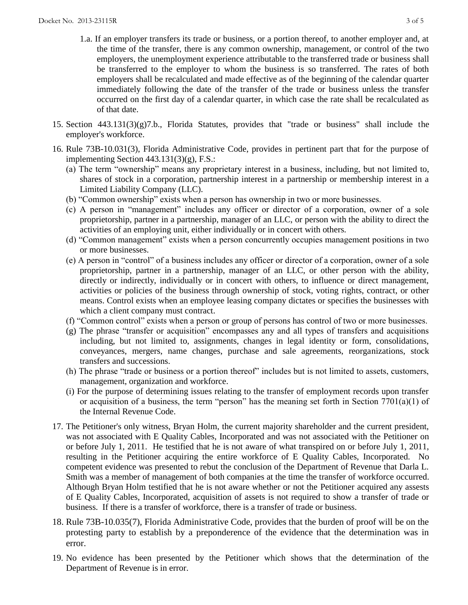- 1.a. If an employer transfers its trade or business, or a portion thereof, to another employer and, at the time of the transfer, there is any common ownership, management, or control of the two employers, the unemployment experience attributable to the transferred trade or business shall be transferred to the employer to whom the business is so transferred. The rates of both employers shall be recalculated and made effective as of the beginning of the calendar quarter immediately following the date of the transfer of the trade or business unless the transfer occurred on the first day of a calendar quarter, in which case the rate shall be recalculated as of that date.
- 15. Section 443.131(3)(g)7.b., Florida Statutes, provides that "trade or business" shall include the employer's workforce.
- 16. Rule 73B-10.031(3), Florida Administrative Code, provides in pertinent part that for the purpose of implementing Section 443.131(3)(g), F.S.:
	- (a) The term "ownership" means any proprietary interest in a business, including, but not limited to, shares of stock in a corporation, partnership interest in a partnership or membership interest in a Limited Liability Company (LLC).
	- (b) "Common ownership" exists when a person has ownership in two or more businesses.
	- (c) A person in "management" includes any officer or director of a corporation, owner of a sole proprietorship, partner in a partnership, manager of an LLC, or person with the ability to direct the activities of an employing unit, either individually or in concert with others.
	- (d) "Common management" exists when a person concurrently occupies management positions in two or more businesses.
	- (e) A person in "control" of a business includes any officer or director of a corporation, owner of a sole proprietorship, partner in a partnership, manager of an LLC, or other person with the ability, directly or indirectly, individually or in concert with others, to influence or direct management, activities or policies of the business through ownership of stock, voting rights, contract, or other means. Control exists when an employee leasing company dictates or specifies the businesses with which a client company must contract.
	- (f) "Common control" exists when a person or group of persons has control of two or more businesses.
	- (g) The phrase "transfer or acquisition" encompasses any and all types of transfers and acquisitions including, but not limited to, assignments, changes in legal identity or form, consolidations, conveyances, mergers, name changes, purchase and sale agreements, reorganizations, stock transfers and successions.
	- (h) The phrase "trade or business or a portion thereof" includes but is not limited to assets, customers, management, organization and workforce.
	- (i) For the purpose of determining issues relating to the transfer of employment records upon transfer or acquisition of a business, the term "person" has the meaning set forth in Section 7701(a)(1) of the Internal Revenue Code.
- 17. The Petitioner's only witness, Bryan Holm, the current majority shareholder and the current president, was not associated with E Quality Cables, Incorporated and was not associated with the Petitioner on or before July 1, 2011. He testified that he is not aware of what transpired on or before July 1, 2011, resulting in the Petitioner acquiring the entire workforce of E Quality Cables, Incorporated. No competent evidence was presented to rebut the conclusion of the Department of Revenue that Darla L. Smith was a member of management of both companies at the time the transfer of workforce occurred. Although Bryan Holm testified that he is not aware whether or not the Petitioner acquired any assests of E Quality Cables, Incorporated, acquisition of assets is not required to show a transfer of trade or business. If there is a transfer of workforce, there is a transfer of trade or business.
- 18. Rule 73B-10.035(7), Florida Administrative Code, provides that the burden of proof will be on the protesting party to establish by a preponderence of the evidence that the determination was in error.
- 19. No evidence has been presented by the Petitioner which shows that the determination of the Department of Revenue is in error.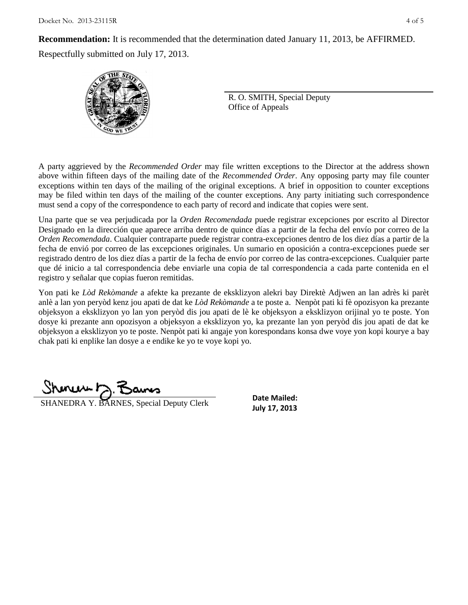**Recommendation:** It is recommended that the determination dated January 11, 2013, be AFFIRMED.

Respectfully submitted on July 17, 2013.



R. O. SMITH, Special Deputy Office of Appeals

A party aggrieved by the *Recommended Order* may file written exceptions to the Director at the address shown above within fifteen days of the mailing date of the *Recommended Order*. Any opposing party may file counter exceptions within ten days of the mailing of the original exceptions. A brief in opposition to counter exceptions may be filed within ten days of the mailing of the counter exceptions. Any party initiating such correspondence must send a copy of the correspondence to each party of record and indicate that copies were sent.

Una parte que se vea perjudicada por la *Orden Recomendada* puede registrar excepciones por escrito al Director Designado en la dirección que aparece arriba dentro de quince días a partir de la fecha del envío por correo de la *Orden Recomendada*. Cualquier contraparte puede registrar contra-excepciones dentro de los diez días a partir de la fecha de envió por correo de las excepciones originales. Un sumario en oposición a contra-excepciones puede ser registrado dentro de los diez días a partir de la fecha de envío por correo de las contra-excepciones. Cualquier parte que dé inicio a tal correspondencia debe enviarle una copia de tal correspondencia a cada parte contenida en el registro y señalar que copias fueron remitidas.

Yon pati ke *Lòd Rekòmande* a afekte ka prezante de eksklizyon alekri bay Direktè Adjwen an lan adrès ki parèt anlè a lan yon peryòd kenz jou apati de dat ke *Lòd Rekòmande* a te poste a. Nenpòt pati ki fè opozisyon ka prezante objeksyon a eksklizyon yo lan yon peryòd dis jou apati de lè ke objeksyon a eksklizyon orijinal yo te poste. Yon dosye ki prezante ann opozisyon a objeksyon a eksklizyon yo, ka prezante lan yon peryòd dis jou apati de dat ke objeksyon a eksklizyon yo te poste. Nenpòt pati ki angaje yon korespondans konsa dwe voye yon kopi kourye a bay chak pati ki enplike lan dosye a e endike ke yo te voye kopi yo.

**July 17, 2013**<br>**July 17, 2013** 

**Date Mailed:**